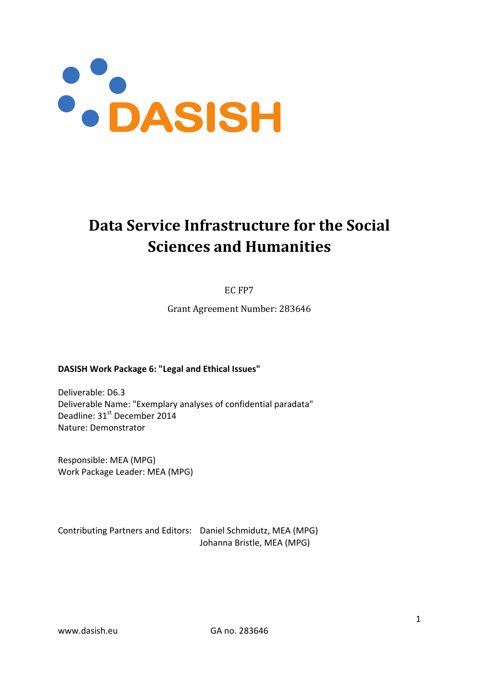

# **Data Service Infrastructure for the Social Sciences and Humanities**

EC FP7

Grant Agreement Number: 283646

#### **DASISH Work Package 6: "Legal and Ethical Issues"**

Deliverable: D6.3 Deliverable Name: "Exemplary analyses of confidential paradata" Deadline: 31<sup>st</sup> December 2014 Nature: Demonstrator

Responsible: MEA (MPG) Work Package Leader: MEA (MPG)

Contributing Partners and Editors: Daniel Schmidutz, MEA (MPG) Johanna Bristle, MEA (MPG)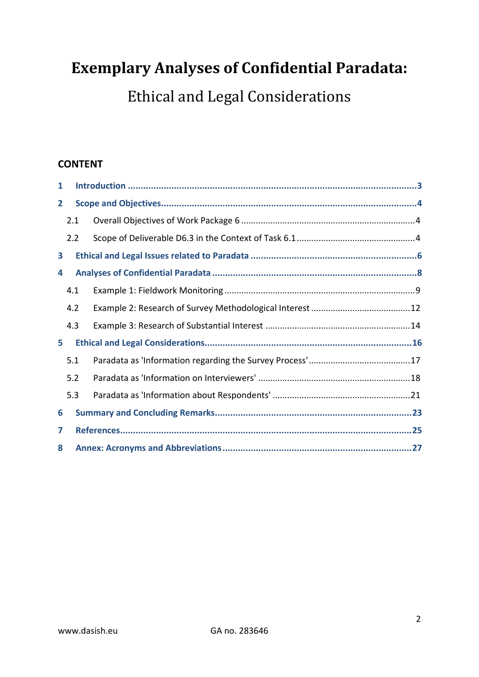# **Exemplary Analyses of Confidential Paradata:**

Ethical and Legal Considerations

### **CONTENT**

| 1            |     |  |  |  |  |
|--------------|-----|--|--|--|--|
| $\mathbf{2}$ |     |  |  |  |  |
|              | 2.1 |  |  |  |  |
|              | 2.2 |  |  |  |  |
| 3            |     |  |  |  |  |
| 4            |     |  |  |  |  |
|              | 4.1 |  |  |  |  |
|              | 4.2 |  |  |  |  |
|              | 4.3 |  |  |  |  |
| 5            |     |  |  |  |  |
|              | 5.1 |  |  |  |  |
|              | 5.2 |  |  |  |  |
|              | 5.3 |  |  |  |  |
| 6            |     |  |  |  |  |
| 7            |     |  |  |  |  |
| 8            |     |  |  |  |  |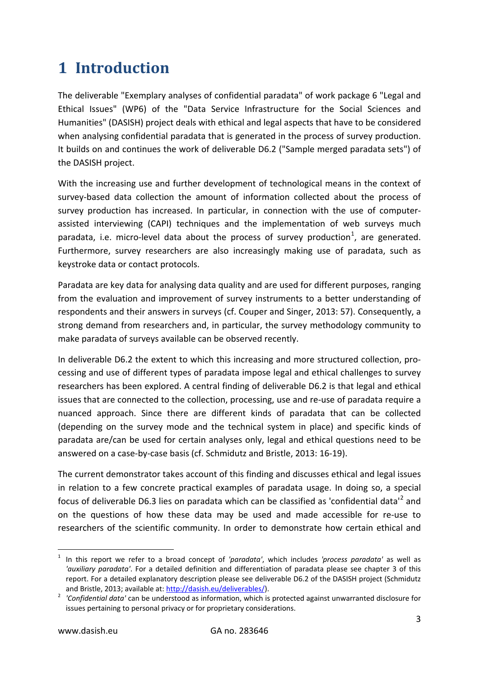# <span id="page-2-0"></span>**1 Introduction**

The deliverable "Exemplary analyses of confidential paradata" of work package 6 "Legal and Ethical Issues" (WP6) of the "Data Service Infrastructure for the Social Sciences and Humanities" (DASISH) project deals with ethical and legal aspects that have to be considered when analysing confidential paradata that is generated in the process of survey production. It builds on and continues the work of deliverable D6.2 ("Sample merged paradata sets") of the DASISH project.

With the increasing use and further development of technological means in the context of survey-based data collection the amount of information collected about the process of survey production has increased. In particular, in connection with the use of computerassisted interviewing (CAPI) techniques and the implementation of web surveys much paradata, i.e. micro-level data about the process of survey production<sup>[1](#page-2-1)</sup>, are generated. Furthermore, survey researchers are also increasingly making use of paradata, such as keystroke data or contact protocols.

Paradata are key data for analysing data quality and are used for different purposes, ranging from the evaluation and improvement of survey instruments to a better understanding of respondents and their answers in surveys (cf. Couper and Singer, 2013: 57). Consequently, a strong demand from researchers and, in particular, the survey methodology community to make paradata of surveys available can be observed recently.

In deliverable D6.2 the extent to which this increasing and more structured collection, processing and use of different types of paradata impose legal and ethical challenges to survey researchers has been explored. A central finding of deliverable D6.2 is that legal and ethical issues that are connected to the collection, processing, use and re-use of paradata require a nuanced approach. Since there are different kinds of paradata that can be collected (depending on the survey mode and the technical system in place) and specific kinds of paradata are/can be used for certain analyses only, legal and ethical questions need to be answered on a case-by-case basis (cf. Schmidutz and Bristle, 2013: 16-19).

The current demonstrator takes account of this finding and discusses ethical and legal issues in relation to a few concrete practical examples of paradata usage. In doing so, a special focus of deliverable D6.3 lies on paradata which can be classified as 'confidential data'<sup>[2](#page-2-2)</sup> and on the questions of how these data may be used and made accessible for re-use to researchers of the scientific community. In order to demonstrate how certain ethical and

<span id="page-2-1"></span> <sup>1</sup> In this report we refer to a broad concept of *'paradata'*, which includes *'process paradata'* as well as *'auxiliary paradata'*. For a detailed definition and differentiation of paradata please see chapter 3 of this report. For a detailed explanatory description please see deliverable D6.2 of the DASISH project (Schmidutz

<span id="page-2-2"></span>and Bristle, 2013; available at[: http://dasish.eu/deliverables/\)](http://dasish.eu/deliverables/).<br><sup>2</sup> *'Confidential data'* can be understood as information, which is protected against unwarranted disclosure for issues pertaining to personal privacy or for proprietary considerations.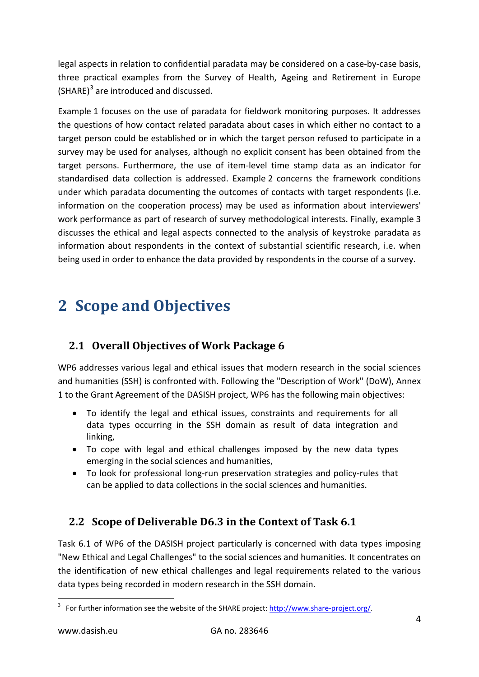legal aspects in relation to confidential paradata may be considered on a case-by-case basis, three practical examples from the Survey of Health, Ageing and Retirement in Europe (SHARE)<sup>[3](#page-3-3)</sup> are introduced and discussed.

Example 1 focuses on the use of paradata for fieldwork monitoring purposes. It addresses the questions of how contact related paradata about cases in which either no contact to a target person could be established or in which the target person refused to participate in a survey may be used for analyses, although no explicit consent has been obtained from the target persons. Furthermore, the use of item-level time stamp data as an indicator for standardised data collection is addressed. Example 2 concerns the framework conditions under which paradata documenting the outcomes of contacts with target respondents (i.e. information on the cooperation process) may be used as information about interviewers' work performance as part of research of survey methodological interests. Finally, example 3 discusses the ethical and legal aspects connected to the analysis of keystroke paradata as information about respondents in the context of substantial scientific research, i.e. when being used in order to enhance the data provided by respondents in the course of a survey.

# <span id="page-3-0"></span>**2 Scope and Objectives**

### <span id="page-3-1"></span>**2.1 Overall Objectives of Work Package 6**

WP6 addresses various legal and ethical issues that modern research in the social sciences and humanities (SSH) is confronted with. Following the "Description of Work" (DoW), Annex 1 to the Grant Agreement of the DASISH project, WP6 has the following main objectives:

- To identify the legal and ethical issues, constraints and requirements for all data types occurring in the SSH domain as result of data integration and linking,
- To cope with legal and ethical challenges imposed by the new data types emerging in the social sciences and humanities,
- To look for professional long-run preservation strategies and policy-rules that can be applied to data collections in the social sciences and humanities.

### <span id="page-3-2"></span>**2.2 Scope of Deliverable D6.3 in the Context of Task 6.1**

Task 6.1 of WP6 of the DASISH project particularly is concerned with data types imposing "New Ethical and Legal Challenges" to the social sciences and humanities. It concentrates on the identification of new ethical challenges and legal requirements related to the various data types being recorded in modern research in the SSH domain.

<span id="page-3-3"></span><sup>&</sup>lt;sup>3</sup> For further information see the website of the SHARE project: [http://www.share-project.org/.](http://www.share-project.org/)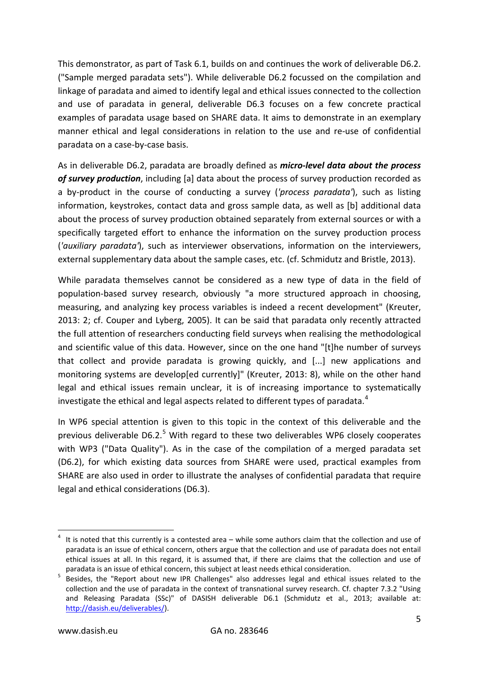This demonstrator, as part of Task 6.1, builds on and continues the work of deliverable D6.2. ("Sample merged paradata sets"). While deliverable D6.2 focussed on the compilation and linkage of paradata and aimed to identify legal and ethical issues connected to the collection and use of paradata in general, deliverable D6.3 focuses on a few concrete practical examples of paradata usage based on SHARE data. It aims to demonstrate in an exemplary manner ethical and legal considerations in relation to the use and re-use of confidential paradata on a case-by-case basis.

As in deliverable D6.2, paradata are broadly defined as *micro-level data about the process of survey production*, including [a] data about the process of survey production recorded as a by-product in the course of conducting a survey (*'process paradata'*), such as listing information, keystrokes, contact data and gross sample data, as well as [b] additional data about the process of survey production obtained separately from external sources or with a specifically targeted effort to enhance the information on the survey production process (*'auxiliary paradata'*), such as interviewer observations, information on the interviewers, external supplementary data about the sample cases, etc. (cf. Schmidutz and Bristle, 2013).

While paradata themselves cannot be considered as a new type of data in the field of population-based survey research, obviously "a more structured approach in choosing, measuring, and analyzing key process variables is indeed a recent development" (Kreuter, 2013: 2; cf. Couper and Lyberg, 2005). It can be said that paradata only recently attracted the full attention of researchers conducting field surveys when realising the methodological and scientific value of this data. However, since on the one hand "[t]he number of surveys that collect and provide paradata is growing quickly, and [...] new applications and monitoring systems are develop[ed currently]" (Kreuter, 2013: 8), while on the other hand legal and ethical issues remain unclear, it is of increasing importance to systematically investigate the ethical and legal aspects related to different types of paradata.<sup>[4](#page-4-0)</sup>

In WP6 special attention is given to this topic in the context of this deliverable and the previous deliverable D6.2.<sup>[5](#page-4-1)</sup> With regard to these two deliverables WP6 closely cooperates with WP3 ("Data Quality"). As in the case of the compilation of a merged paradata set (D6.2), for which existing data sources from SHARE were used, practical examples from SHARE are also used in order to illustrate the analyses of confidential paradata that require legal and ethical considerations (D6.3).

<span id="page-4-0"></span> <sup>4</sup> It is noted that this currently is a contested area – while some authors claim that the collection and use of paradata is an issue of ethical concern, others argue that the collection and use of paradata does not entail ethical issues at all. In this regard, it is assumed that, if there are claims that the collection and use of

<span id="page-4-1"></span>paradata is an issue of ethical concern, this subject at least needs ethical consideration.<br>Besides, the "Report about new IPR Challenges" also addresses legal and ethical issues related to the collection and the use of paradata in the context of transnational survey research. Cf. chapter 7.3.2 "Using and Releasing Paradata (SSc)" of DASISH deliverable D6.1 (Schmidutz et al., 2013; available at: [http://dasish.eu/deliverables/\)](http://dasish.eu/deliverables/).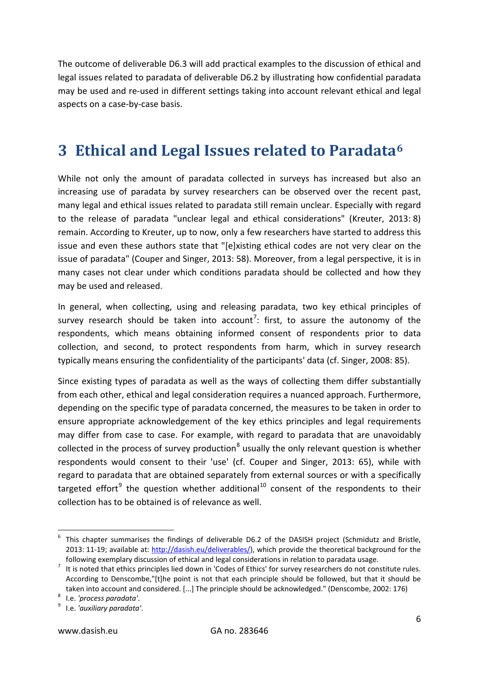The outcome of deliverable D6.3 will add practical examples to the discussion of ethical and legal issues related to paradata of deliverable D6.2 by illustrating how confidential paradata may be used and re-used in different settings taking into account relevant ethical and legal aspects on a case-by-case basis.

## <span id="page-5-0"></span>**3 Ethical and Legal Issues related to Paradata[6](#page-5-1)**

While not only the amount of paradata collected in surveys has increased but also an increasing use of paradata by survey researchers can be observed over the recent past, many legal and ethical issues related to paradata still remain unclear. Especially with regard to the release of paradata "unclear legal and ethical considerations" (Kreuter, 2013: 8) remain. According to Kreuter, up to now, only a few researchers have started to address this issue and even these authors state that "[e]xisting ethical codes are not very clear on the issue of paradata" (Couper and Singer, 2013: 58). Moreover, from a legal perspective, it is in many cases not clear under which conditions paradata should be collected and how they may be used and released.

In general, when collecting, using and releasing paradata, two key ethical principles of survey research should be taken into account<sup>[7](#page-5-2)</sup>: first, to assure the autonomy of the respondents, which means obtaining informed consent of respondents prior to data collection, and second, to protect respondents from harm, which in survey research typically means ensuring the confidentiality of the participants' data (cf. Singer, 2008: 85).

Since existing types of paradata as well as the ways of collecting them differ substantially from each other, ethical and legal consideration requires a nuanced approach. Furthermore, depending on the specific type of paradata concerned, the measures to be taken in order to ensure appropriate acknowledgement of the key ethics principles and legal requirements may differ from case to case. For example, with regard to paradata that are unavoidably collected in the process of survey production<sup>[8](#page-5-3)</sup> usually the only relevant question is whether respondents would consent to their 'use' (cf. Couper and Singer, 2013: 65), while with regard to paradata that are obtained separately from external sources or with a specifically targeted effort<sup>[9](#page-5-4)</sup> the question whether additional<sup>[10](#page-5-3)</sup> consent of the respondents to their collection has to be obtained is of relevance as well.

<span id="page-5-1"></span>This chapter summarises the findings of deliverable D6.2 of the DASISH project (Schmidutz and Bristle, 2013: 11-19; available at: [http://dasish.eu/deliverables/\)](http://dasish.eu/deliverables/), which provide the theoretical background for the

<span id="page-5-2"></span>following exemplary discussion of ethical and legal considerations in relation to paradata usage.<br><sup>7</sup> It is noted that ethics principles lied down in 'Codes of Ethics' for survey researchers do not constitute rules. According to Denscombe,"[t]he point is not that each principle should be followed, but that it should be taken into account and considered. [...] The principle should be acknowledged." (Denscombe, 2002: 176) <sup>8</sup> I.e. *'process paradata'*. <sup>9</sup> I.e. *'auxiliary paradata'*.

<span id="page-5-3"></span>

<span id="page-5-4"></span>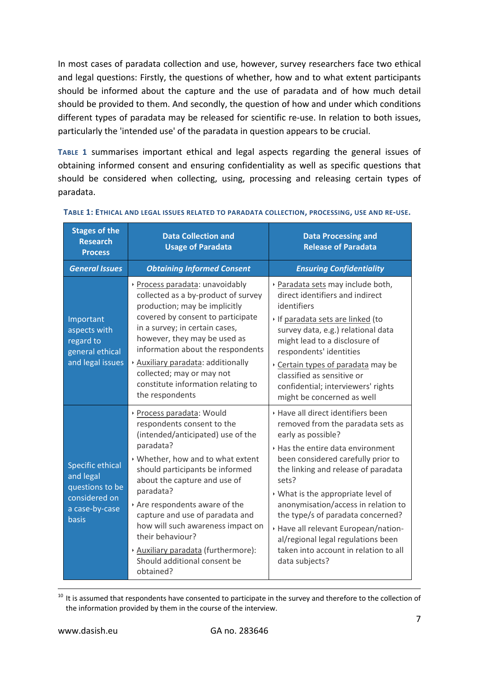In most cases of paradata collection and use, however, survey researchers face two ethical and legal questions: Firstly, the questions of whether, how and to what extent participants should be informed about the capture and the use of paradata and of how much detail should be provided to them. And secondly, the question of how and under which conditions different types of paradata may be released for scientific re-use. In relation to both issues, particularly the 'intended use' of the paradata in question appears to be crucial.

**[TABLE 1](#page-6-0)** summarises important ethical and legal aspects regarding the general issues of obtaining informed consent and ensuring confidentiality as well as specific questions that should be considered when collecting, using, processing and releasing certain types of paradata.

| <b>Stages of the</b><br><b>Research</b><br><b>Process</b>                                           | <b>Data Collection and</b><br><b>Usage of Paradata</b>                                                                                                                                                                                                                                                                                                                                                                                     | <b>Data Processing and</b><br><b>Release of Paradata</b>                                                                                                                                                                                                                                                                                                                                                                                                                            |  |  |
|-----------------------------------------------------------------------------------------------------|--------------------------------------------------------------------------------------------------------------------------------------------------------------------------------------------------------------------------------------------------------------------------------------------------------------------------------------------------------------------------------------------------------------------------------------------|-------------------------------------------------------------------------------------------------------------------------------------------------------------------------------------------------------------------------------------------------------------------------------------------------------------------------------------------------------------------------------------------------------------------------------------------------------------------------------------|--|--|
| <b>General Issues</b>                                                                               | <b>Obtaining Informed Consent</b>                                                                                                                                                                                                                                                                                                                                                                                                          | <b>Ensuring Confidentiality</b>                                                                                                                                                                                                                                                                                                                                                                                                                                                     |  |  |
| Important<br>aspects with<br>regard to<br>general ethical<br>and legal issues                       | Process paradata: unavoidably<br>collected as a by-product of survey<br>production; may be implicitly<br>covered by consent to participate<br>in a survey; in certain cases,<br>however, they may be used as<br>information about the respondents<br>Auxiliary paradata: additionally<br>collected; may or may not<br>constitute information relating to<br>the respondents                                                                | Paradata sets may include both,<br>direct identifiers and indirect<br>identifiers<br>If paradata sets are linked (to<br>survey data, e.g.) relational data<br>might lead to a disclosure of<br>respondents' identities<br>Certain types of paradata may be<br>classified as sensitive or<br>confidential; interviewers' rights<br>might be concerned as well                                                                                                                        |  |  |
| <b>Specific ethical</b><br>and legal<br>questions to be<br>considered on<br>a case-by-case<br>basis | Process paradata: Would<br>respondents consent to the<br>(intended/anticipated) use of the<br>paradata?<br>▶ Whether, how and to what extent<br>should participants be informed<br>about the capture and use of<br>paradata?<br>Are respondents aware of the<br>capture and use of paradata and<br>how will such awareness impact on<br>their behaviour?<br>Auxiliary paradata (furthermore):<br>Should additional consent be<br>obtained? | ▶ Have all direct identifiers been<br>removed from the paradata sets as<br>early as possible?<br>▸ Has the entire data environment<br>been considered carefully prior to<br>the linking and release of paradata<br>sets?<br>▸ What is the appropriate level of<br>anonymisation/access in relation to<br>the type/s of paradata concerned?<br>▶ Have all relevant European/nation-<br>al/regional legal regulations been<br>taken into account in relation to all<br>data subjects? |  |  |

#### <span id="page-6-0"></span>**TABLE 1: ETHICAL AND LEGAL ISSUES RELATED TO PARADATA COLLECTION, PROCESSING, USE AND RE-USE.**

 $10$  It is assumed that respondents have consented to participate in the survey and therefore to the collection of the information provided by them in the course of the interview.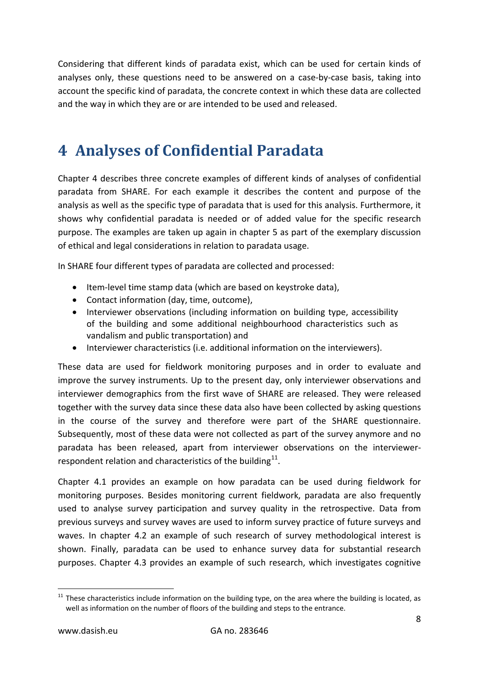Considering that different kinds of paradata exist, which can be used for certain kinds of analyses only, these questions need to be answered on a case-by-case basis, taking into account the specific kind of paradata, the concrete context in which these data are collected and the way in which they are or are intended to be used and released.

## <span id="page-7-0"></span>**4 Analyses of Confidential Paradata**

Chapter 4 describes three concrete examples of different kinds of analyses of confidential paradata from SHARE. For each example it describes the content and purpose of the analysis as well as the specific type of paradata that is used for this analysis. Furthermore, it shows why confidential paradata is needed or of added value for the specific research purpose. The examples are taken up again in chapter 5 as part of the exemplary discussion of ethical and legal considerations in relation to paradata usage.

In SHARE four different types of paradata are collected and processed:

- Item-level time stamp data (which are based on keystroke data),
- Contact information (day, time, outcome),
- Interviewer observations (including information on building type, accessibility of the building and some additional neighbourhood characteristics such as vandalism and public transportation) and
- Interviewer characteristics (i.e. additional information on the interviewers).

These data are used for fieldwork monitoring purposes and in order to evaluate and improve the survey instruments. Up to the present day, only interviewer observations and interviewer demographics from the first wave of SHARE are released. They were released together with the survey data since these data also have been collected by asking questions in the course of the survey and therefore were part of the SHARE questionnaire. Subsequently, most of these data were not collected as part of the survey anymore and no paradata has been released, apart from interviewer observations on the interviewerrespondent relation and characteristics of the building $11$ .

Chapter 4.1 provides an example on how paradata can be used during fieldwork for monitoring purposes. Besides monitoring current fieldwork, paradata are also frequently used to analyse survey participation and survey quality in the retrospective. Data from previous surveys and survey waves are used to inform survey practice of future surveys and waves. In chapter 4.2 an example of such research of survey methodological interest is shown. Finally, paradata can be used to enhance survey data for substantial research purposes. Chapter 4.3 provides an example of such research, which investigates cognitive

<span id="page-7-1"></span> $11$  These characteristics include information on the building type, on the area where the building is located, as well as information on the number of floors of the building and steps to the entrance.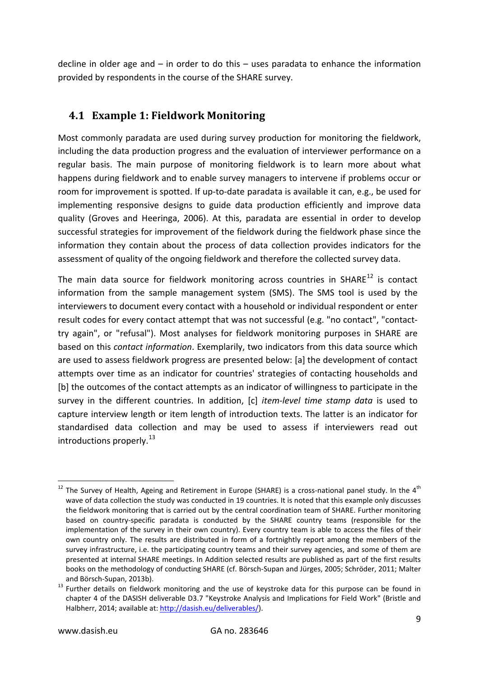decline in older age and – in order to do this – uses paradata to enhance the information provided by respondents in the course of the SHARE survey.

#### <span id="page-8-0"></span>**4.1 Example 1: Fieldwork Monitoring**

Most commonly paradata are used during survey production for monitoring the fieldwork, including the data production progress and the evaluation of interviewer performance on a regular basis. The main purpose of monitoring fieldwork is to learn more about what happens during fieldwork and to enable survey managers to intervene if problems occur or room for improvement is spotted. If up-to-date paradata is available it can, e.g., be used for implementing responsive designs to guide data production efficiently and improve data quality [\(Groves and Heeringa, 2006\)](#page-25-0). At this, paradata are essential in order to develop successful strategies for improvement of the fieldwork during the fieldwork phase since the information they contain about the process of data collection provides indicators for the assessment of quality of the ongoing fieldwork and therefore the collected survey data.

The main data source for fieldwork monitoring across countries in SHARE $^{12}$  $^{12}$  $^{12}$  is contact information from the sample management system (SMS). The SMS tool is used by the interviewers to document every contact with a household or individual respondent or enter result codes for every contact attempt that was not successful (e.g. "no contact", "contacttry again", or "refusal"). Most analyses for fieldwork monitoring purposes in SHARE are based on this *contact information*. Exemplarily, two indicators from this data source which are used to assess fieldwork progress are presented below: [a] the development of contact attempts over time as an indicator for countries' strategies of contacting households and [b] the outcomes of the contact attempts as an indicator of willingness to participate in the survey in the different countries. In addition, [c] *item-level time stamp data* is used to capture interview length or item length of introduction texts. The latter is an indicator for standardised data collection and may be used to assess if interviewers read out introductions properly.  $^{13}$  $^{13}$  $^{13}$ 

<span id="page-8-1"></span><sup>&</sup>lt;sup>12</sup> The Survey of Health, Ageing and Retirement in Europe (SHARE) is a cross-national panel study. In the 4<sup>th</sup> wave of data collection the study was conducted in 19 countries. It is noted that this example only discusses the fieldwork monitoring that is carried out by the central coordination team of SHARE. Further monitoring based on country-specific paradata is conducted by the SHARE country teams (responsible for the implementation of the survey in their own country). Every country team is able to access the files of their own country only. The results are distributed in form of a fortnightly report among the members of the survey infrastructure, i.e. the participating country teams and their survey agencies, and some of them are presented at internal SHARE meetings. In Addition selected results are published as part of the first results books on the methodology of conducting SHARE (cf. Börsch-Supan and Jürges, 2005; Schröder, 2011; Malter

<span id="page-8-2"></span>and Börsch-Supan, 2013b).<br><sup>13</sup> Further details on fieldwork monitoring and the use of keystroke data for this purpose can be found in chapter 4 of the DASISH deliverable D3.7 "Keystroke Analysis and Implications for Field Work" (Bristle and Halbherr, 2014; available at: [http://dasish.eu/deliverables/\)](http://dasish.eu/deliverables/).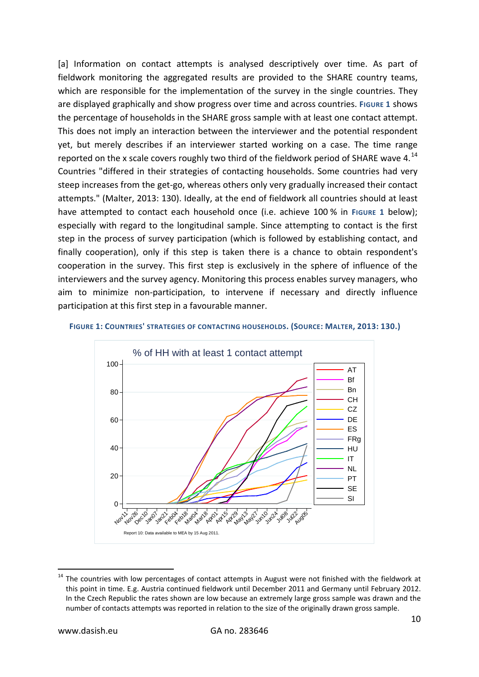[a] Information on contact attempts is analysed descriptively over time. As part of fieldwork monitoring the aggregated results are provided to the SHARE country teams, which are responsible for the implementation of the survey in the single countries. They are displayed graphically and show progress over time and across countries. [FIGURE 1](#page-9-0) shows the percentage of households in the SHARE gross sample with at least one contact attempt. This does not imply an interaction between the interviewer and the potential respondent yet, but merely describes if an interviewer started working on a case. The time range reported on the x scale covers roughly two third of the fieldwork period of SHARE wave 4. $^{14}$  $^{14}$  $^{14}$ Countries "differed in their strategies of contacting households. Some countries had very steep increases from the get-go, whereas others only very gradually increased their contact attempts." (Malter, 2013: 130). Ideally, at the end of fieldwork all countries should at least have attempted to contact each household once (i.e. achieve 100 % in [FIGURE 1](#page-9-0) below); especially with regard to the longitudinal sample. Since attempting to contact is the first step in the process of survey participation (which is followed by establishing contact, and finally cooperation), only if this step is taken there is a chance to obtain respondent's cooperation in the survey. This first step is exclusively in the sphere of influence of the interviewers and the survey agency. Monitoring this process enables survey managers, who aim to minimize non-participation, to intervene if necessary and directly influence participation at this first step in a favourable manner.



#### <span id="page-9-0"></span>**FIGURE 1: COUNTRIES' STRATEGIES OF CONTACTING HOUSEHOLDS. (SOURCE: MALTER, 2013: 130.)**

<span id="page-9-1"></span><sup>&</sup>lt;sup>14</sup> The countries with low percentages of contact attempts in August were not finished with the fieldwork at this point in time. E.g. Austria continued fieldwork until December 2011 and Germany until February 2012. In the Czech Republic the rates shown are low because an extremely large gross sample was drawn and the number of contacts attempts was reported in relation to the size of the originally drawn gross sample.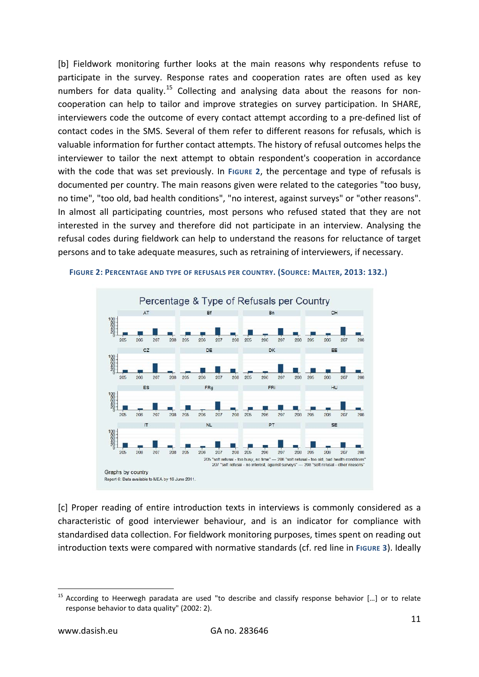[b] Fieldwork monitoring further looks at the main reasons why respondents refuse to participate in the survey. Response rates and cooperation rates are often used as key numbers for data quality.<sup>[15](#page-10-1)</sup> Collecting and analysing data about the reasons for noncooperation can help to tailor and improve strategies on survey participation. In SHARE, interviewers code the outcome of every contact attempt according to a pre-defined list of contact codes in the SMS. Several of them refer to different reasons for refusals, which is valuable information for further contact attempts. The history of refusal outcomes helps the interviewer to tailor the next attempt to obtain respondent's cooperation in accordance with the code that was set previously. In [FIGURE 2](#page-10-0), the percentage and type of refusals is documented per country. The main reasons given were related to the categories "too busy, no time", "too old, bad health conditions", "no interest, against surveys" or "other reasons". In almost all participating countries, most persons who refused stated that they are not interested in the survey and therefore did not participate in an interview. Analysing the refusal codes during fieldwork can help to understand the reasons for reluctance of target persons and to take adequate measures, such as retraining of interviewers, if necessary.



<span id="page-10-0"></span>**FIGURE 2: PERCENTAGE AND TYPE OF REFUSALS PER COUNTRY. (SOURCE: MALTER, 2013: 132.)**

[c] Proper reading of entire introduction texts in interviews is commonly considered as a characteristic of good interviewer behaviour, and is an indicator for compliance with standardised data collection. For fieldwork monitoring purposes, times spent on reading out introduction texts were compared with normative standards (cf. red line in [FIGURE 3](#page-11-1)). Ideally

<span id="page-10-1"></span><sup>&</sup>lt;sup>15</sup> According to Heerwegh paradata are used "to describe and classify response behavior [...] or to relate response behavior to data quality" (2002: 2).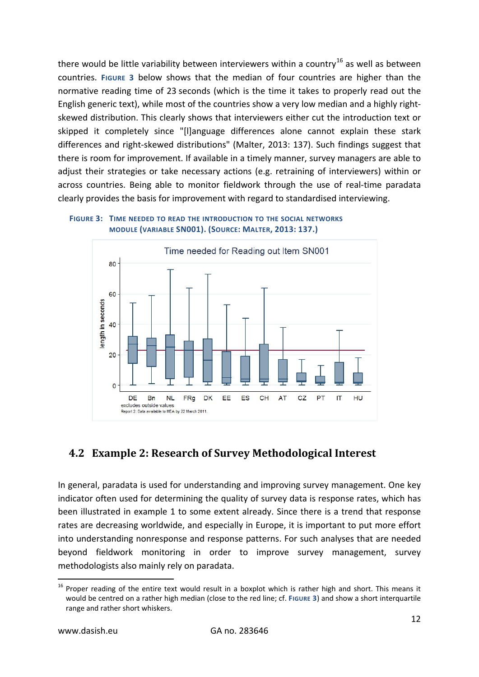there would be little variability between interviewers within a country<sup>[16](#page-11-2)</sup> as well as between countries. **[FIGURE 3](#page-11-1)** below shows that the median of four countries are higher than the normative reading time of 23 seconds (which is the time it takes to properly read out the English generic text), while most of the countries show a very low median and a highly rightskewed distribution. This clearly shows that interviewers either cut the introduction text or skipped it completely since "[l]anguage differences alone cannot explain these stark differences and right-skewed distributions" (Malter, 2013: 137). Such findings suggest that there is room for improvement. If available in a timely manner, survey managers are able to adjust their strategies or take necessary actions (e.g. retraining of interviewers) within or across countries. Being able to monitor fieldwork through the use of real-time paradata clearly provides the basis for improvement with regard to standardised interviewing.

<span id="page-11-1"></span>



### <span id="page-11-0"></span>**4.2 Example 2: Research of Survey Methodological Interest**

In general, paradata is used for understanding and improving survey management. One key indicator often used for determining the quality of survey data is response rates, which has been illustrated in example 1 to some extent already. Since there is a trend that response rates are decreasing worldwide, and especially in Europe, it is important to put more effort into understanding nonresponse and response patterns. For such analyses that are needed beyond fieldwork monitoring in order to improve survey management, survey methodologists also mainly rely on paradata.

<span id="page-11-2"></span><sup>&</sup>lt;sup>16</sup> Proper reading of the entire text would result in a boxplot which is rather high and short. This means it would be centred on a rather high median (close to the red line; cf. **[FIGURE 3](#page-11-1)**) and show a short interquartile range and rather short whiskers.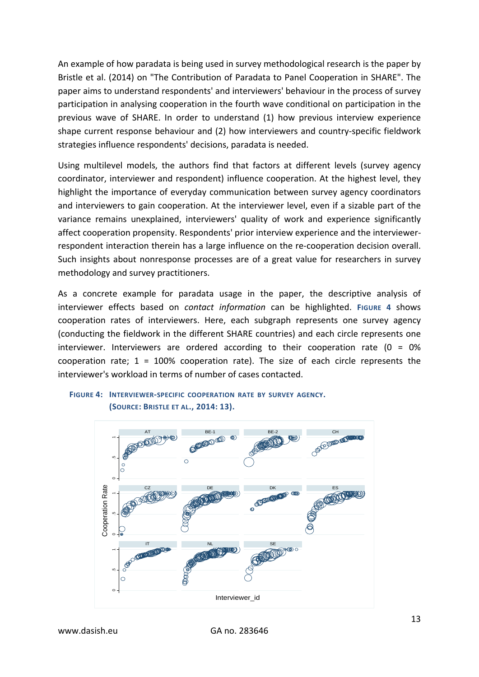An example of how paradata is being used in survey methodological research is the paper by Bristle et al. (2014) on "The Contribution of Paradata to Panel Cooperation in SHARE". The paper aims to understand respondents' and interviewers' behaviour in the process of survey participation in analysing cooperation in the fourth wave conditional on participation in the previous wave of SHARE. In order to understand (1) how previous interview experience shape current response behaviour and (2) how interviewers and country-specific fieldwork strategies influence respondents' decisions, paradata is needed.

Using multilevel models, the authors find that factors at different levels (survey agency coordinator, interviewer and respondent) influence cooperation. At the highest level, they highlight the importance of everyday communication between survey agency coordinators and interviewers to gain cooperation. At the interviewer level, even if a sizable part of the variance remains unexplained, interviewers' quality of work and experience significantly affect cooperation propensity. Respondents' prior interview experience and the interviewerrespondent interaction therein has a large influence on the re-cooperation decision overall. Such insights about nonresponse processes are of a great value for researchers in survey methodology and survey practitioners.

As a concrete example for paradata usage in the paper, the descriptive analysis of interviewer effects based on *contact information* can be highlighted. **[FIGURE 4](#page-12-0)** shows cooperation rates of interviewers. Here, each subgraph represents one survey agency (conducting the fieldwork in the different SHARE countries) and each circle represents one interviewer. Interviewers are ordered according to their cooperation rate (0 = 0% cooperation rate;  $1 = 100\%$  cooperation rate). The size of each circle represents the interviewer's workload in terms of number of cases contacted.

#### <span id="page-12-0"></span>**FIGURE 4: INTERVIEWER-SPECIFIC COOPERATION RATE BY SURVEY AGENCY. (SOURCE: BRISTLE ET AL., 2014: 13).**

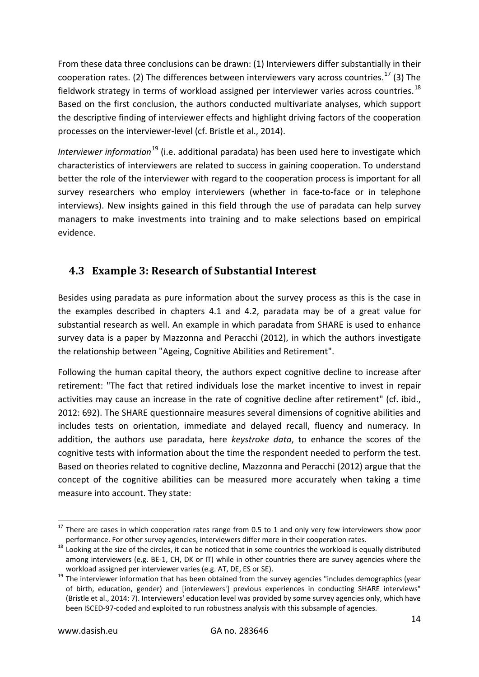From these data three conclusions can be drawn: (1) Interviewers differ substantially in their cooperation rates. (2) The differences between interviewers vary across countries.<sup>[17](#page-13-1)</sup> (3) The fieldwork strategy in terms of workload assigned per interviewer varies across countries. $^{18}$  $^{18}$  $^{18}$ Based on the first conclusion, the authors conducted multivariate analyses, which support the descriptive finding of interviewer effects and highlight driving factors of the cooperation processes on the interviewer-level (cf. Bristle et al., 2014).

*Interviewer information*[19](#page-13-3) (i.e. additional paradata) has been used here to investigate which characteristics of interviewers are related to success in gaining cooperation. To understand better the role of the interviewer with regard to the cooperation process is important for all survey researchers who employ interviewers (whether in face-to-face or in telephone interviews). New insights gained in this field through the use of paradata can help survey managers to make investments into training and to make selections based on empirical evidence.

#### <span id="page-13-0"></span>**4.3 Example 3: Research of Substantial Interest**

Besides using paradata as pure information about the survey process as this is the case in the examples described in chapters 4.1 and 4.2, paradata may be of a great value for substantial research as well. An example in which paradata from SHARE is used to enhance survey data is a paper by Mazzonna and Peracchi (2012), in which the authors investigate the relationship between "Ageing, Cognitive Abilities and Retirement".

Following the human capital theory, the authors expect cognitive decline to increase after retirement: "The fact that retired individuals lose the market incentive to invest in repair activities may cause an increase in the rate of cognitive decline after retirement" (cf. ibid., 2012: 692). The SHARE questionnaire measures several dimensions of cognitive abilities and includes tests on orientation, immediate and delayed recall, fluency and numeracy. In addition, the authors use paradata, here *keystroke data*, to enhance the scores of the cognitive tests with information about the time the respondent needed to perform the test. Based on theories related to cognitive decline, Mazzonna and Peracchi (2012) argue that the concept of the cognitive abilities can be measured more accurately when taking a time measure into account. They state:

<span id="page-13-1"></span> $17$  There are cases in which cooperation rates range from 0.5 to 1 and only very few interviewers show poor performance. For other survey agencies, interviewers differ more in their cooperation rates.<br><sup>18</sup> Looking at the size of the circles, it can be noticed that in some countries the workload is equally distributed

<span id="page-13-2"></span>among interviewers (e.g. BE-1, CH, DK or IT) while in other countries there are survey agencies where the

<span id="page-13-3"></span>workload assigned per interviewer varies (e.g. AT, DE, ES or SE).<br><sup>19</sup> The interviewer information that has been obtained from the survey agencies "includes demographics (year of birth, education, gender) and [interviewers'] previous experiences in conducting SHARE interviews" (Bristle et al., 2014: 7). Interviewers' education level was provided by some survey agencies only, which have been ISCED-97-coded and exploited to run robustness analysis with this subsample of agencies.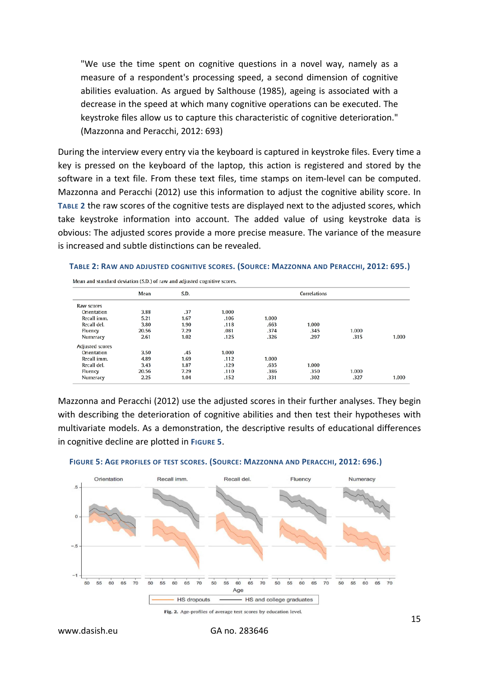"We use the time spent on cognitive questions in a novel way, namely as a measure of a respondent's processing speed, a second dimension of cognitive abilities evaluation. As argued by Salthouse (1985), ageing is associated with a decrease in the speed at which many cognitive operations can be executed. The keystroke files allow us to capture this characteristic of cognitive deterioration." (Mazzonna and Peracchi, 2012: 693)

During the interview every entry via the keyboard is captured in keystroke files. Every time a key is pressed on the keyboard of the laptop, this action is registered and stored by the software in a text file. From these text files, time stamps on item-level can be computed. Mazzonna and Peracchi (2012) use this information to adjust the cognitive ability score. In **[TABLE](#page-14-0) 2** the raw scores of the cognitive tests are displayed next to the adjusted scores, which take keystroke information into account. The added value of using keystroke data is obvious: The adjusted scores provide a more precise measure. The variance of the measure is increased and subtle distinctions can be revealed.

<span id="page-14-0"></span>

| TABLE 2: RAW AND ADJUSTED COGNITIVE SCORES. (SOURCE: MAZZONNA AND PERACCHI, 2012: 695.) |  |
|-----------------------------------------------------------------------------------------|--|
|-----------------------------------------------------------------------------------------|--|

| Mean and standard deviation (S.D.) of raw and adjusted cognitive scores. |      |       |       |              |       |       |  |  |  |  |  |  |  |
|--------------------------------------------------------------------------|------|-------|-------|--------------|-------|-------|--|--|--|--|--|--|--|
| Mean                                                                     | S.D. |       |       | Correlations |       |       |  |  |  |  |  |  |  |
| Raw scores<br>Orientation                                                |      |       |       |              |       |       |  |  |  |  |  |  |  |
| 3.88                                                                     | .37  | 1.000 |       |              |       |       |  |  |  |  |  |  |  |
| 5.21                                                                     | 1.67 | .106  | 1.000 |              |       |       |  |  |  |  |  |  |  |
| 3.80                                                                     | 1.90 | .118  | .663  | 1.000        |       |       |  |  |  |  |  |  |  |
| 20.56                                                                    | 7.29 | .081  | .374  | .345         | 1.000 |       |  |  |  |  |  |  |  |
| 2.61                                                                     | 1.02 | .125  | .326  | .297         | .315  | 1.000 |  |  |  |  |  |  |  |
|                                                                          |      |       |       |              |       |       |  |  |  |  |  |  |  |
| 3.50                                                                     | .45  | 1.000 |       |              |       |       |  |  |  |  |  |  |  |
| 4.89                                                                     | 1.69 | .112  | 1.000 |              |       |       |  |  |  |  |  |  |  |
| 3.43                                                                     | 1.87 | .129  | .635  | 1.000        |       |       |  |  |  |  |  |  |  |
| 20.56                                                                    | 7.29 | .110  | .386  | .350         | 1.000 |       |  |  |  |  |  |  |  |
| 2.25                                                                     | 1.04 | .152  | .331  | .302         | .327  | 1.000 |  |  |  |  |  |  |  |
|                                                                          |      |       |       |              |       |       |  |  |  |  |  |  |  |

Mazzonna and Peracchi (2012) use the adjusted scores in their further analyses. They begin with describing the deterioration of cognitive abilities and then test their hypotheses with multivariate models. As a demonstration, the descriptive results of educational differences in cognitive decline are plotted in **[FIGURE 5](#page-14-1)**.



#### <span id="page-14-1"></span>**FIGURE 5: AGE PROFILES OF TEST SCORES. (SOURCE: MAZZONNA AND PERACCHI, 2012: 696.)**

Fig. 2. Age-profiles of average test scores by education level.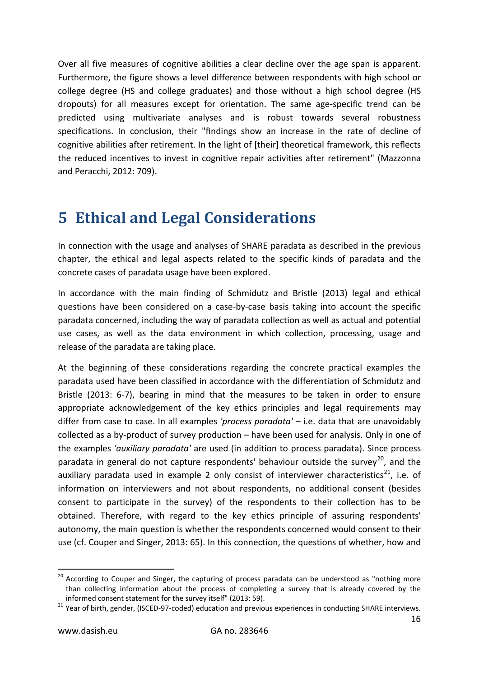Over all five measures of cognitive abilities a clear decline over the age span is apparent. Furthermore, the figure shows a level difference between respondents with high school or college degree (HS and college graduates) and those without a high school degree (HS dropouts) for all measures except for orientation. The same age-specific trend can be predicted using multivariate analyses and is robust towards several robustness specifications. In conclusion, their "findings show an increase in the rate of decline of cognitive abilities after retirement. In the light of [their] theoretical framework, this reflects the reduced incentives to invest in cognitive repair activities after retirement" (Mazzonna and Peracchi, 2012: 709).

## <span id="page-15-0"></span>**5 Ethical and Legal Considerations**

In connection with the usage and analyses of SHARE paradata as described in the previous chapter, the ethical and legal aspects related to the specific kinds of paradata and the concrete cases of paradata usage have been explored.

In accordance with the main finding of Schmidutz and Bristle (2013) legal and ethical questions have been considered on a case-by-case basis taking into account the specific paradata concerned, including the way of paradata collection as well as actual and potential use cases, as well as the data environment in which collection, processing, usage and release of the paradata are taking place.

At the beginning of these considerations regarding the concrete practical examples the paradata used have been classified in accordance with the differentiation of Schmidutz and Bristle (2013: 6-7), bearing in mind that the measures to be taken in order to ensure appropriate acknowledgement of the key ethics principles and legal requirements may differ from case to case. In all examples *'process paradata'* – i.e. data that are unavoidably collected as a by-product of survey production – have been used for analysis. Only in one of the examples *'auxiliary paradata'* are used (in addition to process paradata). Since process paradata in general do not capture respondents' behaviour outside the survey<sup>[20](#page-15-1)</sup>, and the auxiliary paradata used in example 2 only consist of interviewer characteristics<sup>21</sup>, i.e. of information on interviewers and not about respondents, no additional consent (besides consent to participate in the survey) of the respondents to their collection has to be obtained. Therefore, with regard to the key ethics principle of assuring respondents' autonomy, the main question is whether the respondents concerned would consent to their use (cf. Couper and Singer, 2013: 65). In this connection, the questions of whether, how and

<span id="page-15-1"></span><sup>&</sup>lt;sup>20</sup> According to Couper and Singer, the capturing of process paradata can be understood as "nothing more than collecting information about the process of completing a survey that is already covered by the informed consent statement for the survey itself" (2013: 59). <sup>21</sup> Year of birth, gender, (ISCED-97-coded) education and previous experiences in conducting SHARE interviews.

<span id="page-15-2"></span>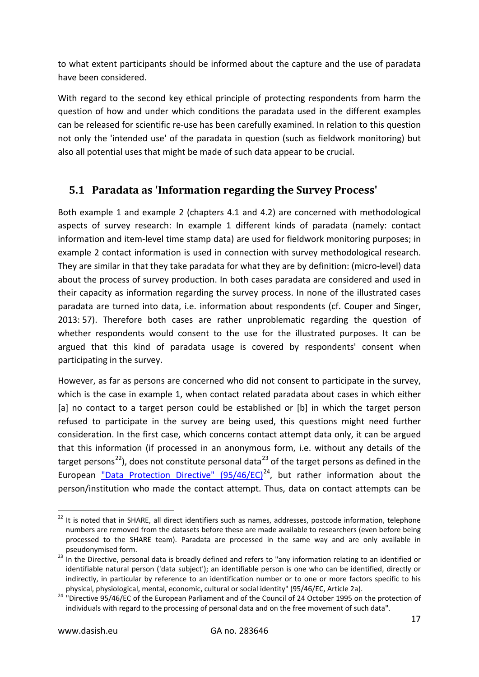to what extent participants should be informed about the capture and the use of paradata have been considered.

With regard to the second key ethical principle of protecting respondents from harm the question of how and under which conditions the paradata used in the different examples can be released for scientific re-use has been carefully examined. In relation to this question not only the 'intended use' of the paradata in question (such as fieldwork monitoring) but also all potential uses that might be made of such data appear to be crucial.

### <span id="page-16-0"></span>**5.1 Paradata as 'Information regarding the Survey Process'**

Both example 1 and example 2 (chapters 4.1 and 4.2) are concerned with methodological aspects of survey research: In example 1 different kinds of paradata (namely: contact information and item-level time stamp data) are used for fieldwork monitoring purposes; in example 2 contact information is used in connection with survey methodological research. They are similar in that they take paradata for what they are by definition: (micro-level) data about the process of survey production. In both cases paradata are considered and used in their capacity as information regarding the survey process. In none of the illustrated cases paradata are turned into data, i.e. information about respondents (cf. Couper and Singer, 2013: 57). Therefore both cases are rather unproblematic regarding the question of whether respondents would consent to the use for the illustrated purposes. It can be argued that this kind of paradata usage is covered by respondents' consent when participating in the survey.

However, as far as persons are concerned who did not consent to participate in the survey, which is the case in example 1, when contact related paradata about cases in which either [a] no contact to a target person could be established or [b] in which the target person refused to participate in the survey are being used, this questions might need further consideration. In the first case, which concerns contact attempt data only, it can be argued that this information (if processed in an anonymous form, i.e. without any details of the target persons<sup>[22](#page-16-1)</sup>), does not constitute personal data<sup>[23](#page-16-2)</sup> of the target persons as defined in the European "Data Protection Directive"  $(95/46/EC)^{24}$ , but rather information about the person/institution who made the contact attempt. Thus, data on contact attempts can be

<span id="page-16-1"></span><sup>&</sup>lt;sup>22</sup> It is noted that in SHARE, all direct identifiers such as names, addresses, postcode information, telephone numbers are removed from the datasets before these are made available to researchers (even before being processed to the SHARE team). Paradata are processed in the same way and are only available in

<span id="page-16-2"></span>pseudonymised form.<br><sup>23</sup> In the Directive, personal data is broadly defined and refers to "any information relating to an identified or identifiable natural person ('data subject'); an identifiable person is one who can be identified, directly or indirectly, in particular by reference to an identification number or to one or more factors specific to his

<span id="page-16-3"></span>physical, physiological, mental, economic, cultural or social identity" (95/46/EC, Article 2a).<br><sup>24</sup> "Directive 95/46/EC of the European Parliament and of the Council of 24 October 1995 on the protection of individuals with regard to the processing of personal data and on the free movement of such data".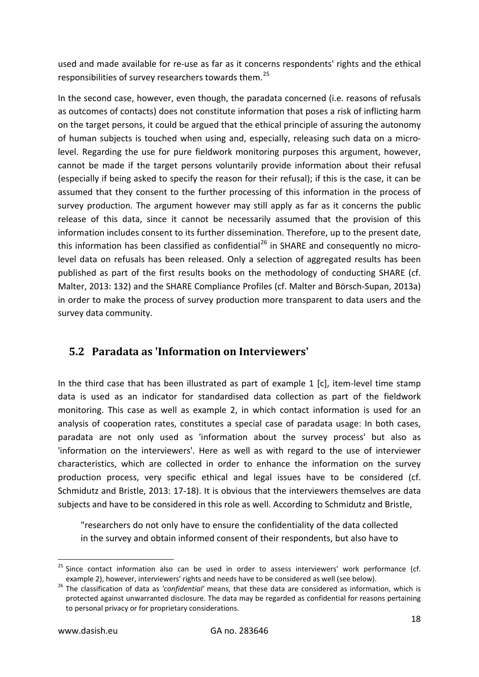used and made available for re-use as far as it concerns respondents' rights and the ethical responsibilities of survey researchers towards them.<sup>[25](#page-17-1)</sup>

In the second case, however, even though, the paradata concerned (i.e. reasons of refusals as outcomes of contacts) does not constitute information that poses a risk of inflicting harm on the target persons, it could be argued that the ethical principle of assuring the autonomy of human subjects is touched when using and, especially, releasing such data on a microlevel. Regarding the use for pure fieldwork monitoring purposes this argument, however, cannot be made if the target persons voluntarily provide information about their refusal (especially if being asked to specify the reason for their refusal); if this is the case, it can be assumed that they consent to the further processing of this information in the process of survey production. The argument however may still apply as far as it concerns the public release of this data, since it cannot be necessarily assumed that the provision of this information includes consent to its further dissemination. Therefore, up to the present date, this information has been classified as confidential<sup>[26](#page-17-2)</sup> in SHARE and consequently no microlevel data on refusals has been released. Only a selection of aggregated results has been published as part of the first results books on the methodology of conducting SHARE (cf. Malter, 2013: 132) and the SHARE Compliance Profiles (cf. Malter and Börsch-Supan, 2013a) in order to make the process of survey production more transparent to data users and the survey data community.

### <span id="page-17-0"></span>**5.2 Paradata as 'Information on Interviewers'**

In the third case that has been illustrated as part of example 1 [c], item-level time stamp data is used as an indicator for standardised data collection as part of the fieldwork monitoring. This case as well as example 2, in which contact information is used for an analysis of cooperation rates, constitutes a special case of paradata usage: In both cases, paradata are not only used as 'information about the survey process' but also as 'information on the interviewers'. Here as well as with regard to the use of interviewer characteristics, which are collected in order to enhance the information on the survey production process, very specific ethical and legal issues have to be considered (cf. Schmidutz and Bristle, 2013: 17-18). It is obvious that the interviewers themselves are data subjects and have to be considered in this role as well. According to Schmidutz and Bristle,

"researchers do not only have to ensure the confidentiality of the data collected in the survey and obtain informed consent of their respondents, but also have to

<span id="page-17-1"></span><sup>&</sup>lt;sup>25</sup> Since contact information also can be used in order to assess interviewers' work performance (cf.

<span id="page-17-2"></span>example 2), however, interviewers' rights and needs have to be considered as well (see below). <sup>26</sup> The classification of data as *'confidential'* means, that these data are considered as information, which is protected against unwarranted disclosure. The data may be regarded as confidential for reasons pertaining to personal privacy or for proprietary considerations.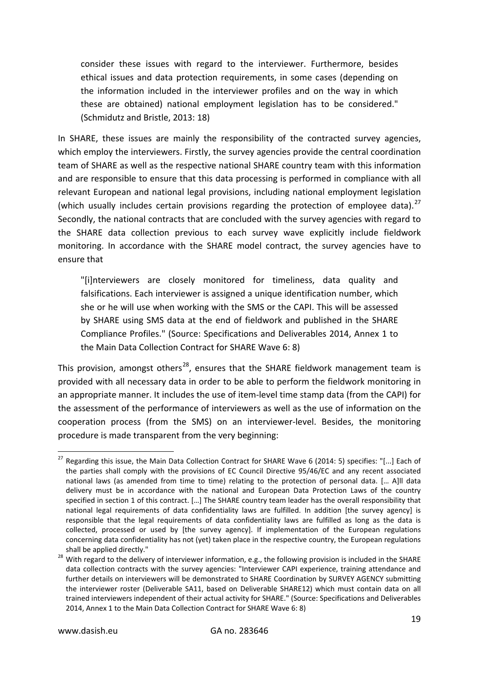consider these issues with regard to the interviewer. Furthermore, besides ethical issues and data protection requirements, in some cases (depending on the information included in the interviewer profiles and on the way in which these are obtained) national employment legislation has to be considered." (Schmidutz and Bristle, 2013: 18)

In SHARE, these issues are mainly the responsibility of the contracted survey agencies, which employ the interviewers. Firstly, the survey agencies provide the central coordination team of SHARE as well as the respective national SHARE country team with this information and are responsible to ensure that this data processing is performed in compliance with all relevant European and national legal provisions, including national employment legislation (which usually includes certain provisions regarding the protection of employee data).<sup>[27](#page-18-0)</sup> Secondly, the national contracts that are concluded with the survey agencies with regard to the SHARE data collection previous to each survey wave explicitly include fieldwork monitoring. In accordance with the SHARE model contract, the survey agencies have to ensure that

"[i]nterviewers are closely monitored for timeliness, data quality and falsifications. Each interviewer is assigned a unique identification number, which she or he will use when working with the SMS or the CAPI. This will be assessed by SHARE using SMS data at the end of fieldwork and published in the SHARE Compliance Profiles." (Source: Specifications and Deliverables 2014, Annex 1 to the Main Data Collection Contract for SHARE Wave 6: 8)

This provision, amongst others<sup>[28](#page-18-1)</sup>, ensures that the SHARE fieldwork management team is provided with all necessary data in order to be able to perform the fieldwork monitoring in an appropriate manner. It includes the use of item-level time stamp data (from the CAPI) for the assessment of the performance of interviewers as well as the use of information on the cooperation process (from the SMS) on an interviewer-level. Besides, the monitoring procedure is made transparent from the very beginning:

<span id="page-18-0"></span><sup>&</sup>lt;sup>27</sup> Regarding this issue, the Main Data Collection Contract for SHARE Wave 6 (2014: 5) specifies: "[...] Each of the parties shall comply with the provisions of EC Council Directive 95/46/EC and any recent associated national laws (as amended from time to time) relating to the protection of personal data. [… A]ll data delivery must be in accordance with the national and European Data Protection Laws of the country specified in section 1 of this contract. […] The SHARE country team leader has the overall responsibility that national legal requirements of data confidentiality laws are fulfilled. In addition [the survey agency] is responsible that the legal requirements of data confidentiality laws are fulfilled as long as the data is collected, processed or used by [the survey agency]. If implementation of the European regulations concerning data confidentiality has not (yet) taken place in the respective country, the European regulations

<span id="page-18-1"></span>shall be applied directly."<br><sup>28</sup> With regard to the delivery of interviewer information, e.g., the following provision is included in the SHARE data collection contracts with the survey agencies: "Interviewer CAPI experience, training attendance and further details on interviewers will be demonstrated to SHARE Coordination by SURVEY AGENCY submitting the interviewer roster (Deliverable SA11, based on Deliverable SHARE12) which must contain data on all trained interviewers independent of their actual activity for SHARE." (Source: Specifications and Deliverables 2014, Annex 1 to the Main Data Collection Contract for SHARE Wave 6: 8)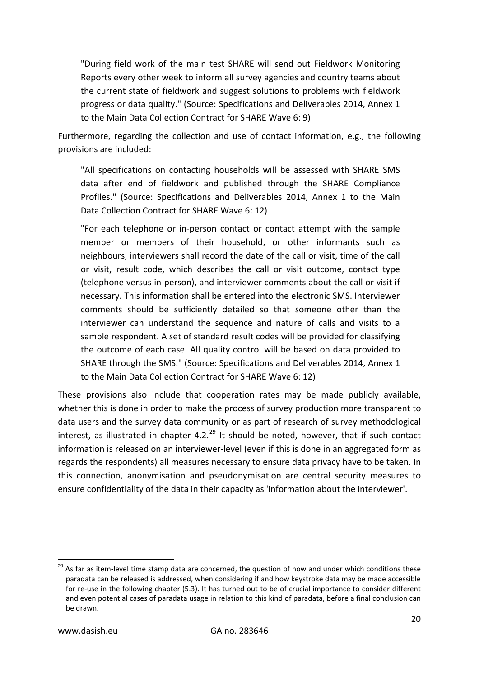"During field work of the main test SHARE will send out Fieldwork Monitoring Reports every other week to inform all survey agencies and country teams about the current state of fieldwork and suggest solutions to problems with fieldwork progress or data quality." (Source: Specifications and Deliverables 2014, Annex 1 to the Main Data Collection Contract for SHARE Wave 6: 9)

Furthermore, regarding the collection and use of contact information, e.g., the following provisions are included:

"All specifications on contacting households will be assessed with SHARE SMS data after end of fieldwork and published through the SHARE Compliance Profiles." (Source: Specifications and Deliverables 2014, Annex 1 to the Main Data Collection Contract for SHARE Wave 6: 12)

"For each telephone or in-person contact or contact attempt with the sample member or members of their household, or other informants such as neighbours, interviewers shall record the date of the call or visit, time of the call or visit, result code, which describes the call or visit outcome, contact type (telephone versus in-person), and interviewer comments about the call or visit if necessary. This information shall be entered into the electronic SMS. Interviewer comments should be sufficiently detailed so that someone other than the interviewer can understand the sequence and nature of calls and visits to a sample respondent. A set of standard result codes will be provided for classifying the outcome of each case. All quality control will be based on data provided to SHARE through the SMS." (Source: Specifications and Deliverables 2014, Annex 1 to the Main Data Collection Contract for SHARE Wave 6: 12)

These provisions also include that cooperation rates may be made publicly available, whether this is done in order to make the process of survey production more transparent to data users and the survey data community or as part of research of survey methodological interest, as illustrated in chapter 4.2. $^{29}$  $^{29}$  $^{29}$  It should be noted, however, that if such contact information is released on an interviewer-level (even if this is done in an aggregated form as regards the respondents) all measures necessary to ensure data privacy have to be taken. In this connection, anonymisation and pseudonymisation are central security measures to ensure confidentiality of the data in their capacity as 'information about the interviewer'.

<span id="page-19-0"></span><sup>&</sup>lt;sup>29</sup> As far as item-level time stamp data are concerned, the question of how and under which conditions these paradata can be released is addressed, when considering if and how keystroke data may be made accessible for re-use in the following chapter (5.3). It has turned out to be of crucial importance to consider different and even potential cases of paradata usage in relation to this kind of paradata, before a final conclusion can be drawn.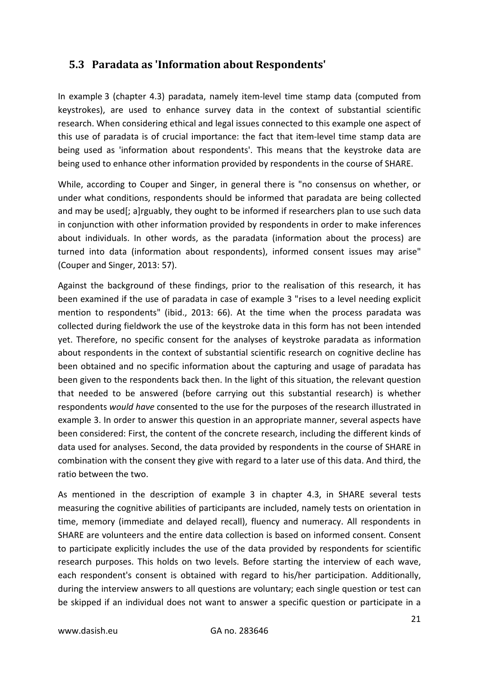#### <span id="page-20-0"></span>**5.3 Paradata as 'Information about Respondents'**

In example 3 (chapter 4.3) paradata, namely item-level time stamp data (computed from keystrokes), are used to enhance survey data in the context of substantial scientific research. When considering ethical and legal issues connected to this example one aspect of this use of paradata is of crucial importance: the fact that item-level time stamp data are being used as 'information about respondents'. This means that the keystroke data are being used to enhance other information provided by respondents in the course of SHARE.

While, according to Couper and Singer, in general there is "no consensus on whether, or under what conditions, respondents should be informed that paradata are being collected and may be used[; a]rguably, they ought to be informed if researchers plan to use such data in conjunction with other information provided by respondents in order to make inferences about individuals. In other words, as the paradata (information about the process) are turned into data (information about respondents), informed consent issues may arise" (Couper and Singer, 2013: 57).

Against the background of these findings, prior to the realisation of this research, it has been examined if the use of paradata in case of example 3 "rises to a level needing explicit mention to respondents" (ibid., 2013: 66). At the time when the process paradata was collected during fieldwork the use of the keystroke data in this form has not been intended yet. Therefore, no specific consent for the analyses of keystroke paradata as information about respondents in the context of substantial scientific research on cognitive decline has been obtained and no specific information about the capturing and usage of paradata has been given to the respondents back then. In the light of this situation, the relevant question that needed to be answered (before carrying out this substantial research) is whether respondents *would have* consented to the use for the purposes of the research illustrated in example 3. In order to answer this question in an appropriate manner, several aspects have been considered: First, the content of the concrete research, including the different kinds of data used for analyses. Second, the data provided by respondents in the course of SHARE in combination with the consent they give with regard to a later use of this data. And third, the ratio between the two.

As mentioned in the description of example 3 in chapter 4.3, in SHARE several tests measuring the cognitive abilities of participants are included, namely tests on orientation in time, memory (immediate and delayed recall), fluency and numeracy. All respondents in SHARE are volunteers and the entire data collection is based on informed consent. Consent to participate explicitly includes the use of the data provided by respondents for scientific research purposes. This holds on two levels. Before starting the interview of each wave, each respondent's consent is obtained with regard to his/her participation. Additionally, during the interview answers to all questions are voluntary; each single question or test can be skipped if an individual does not want to answer a specific question or participate in a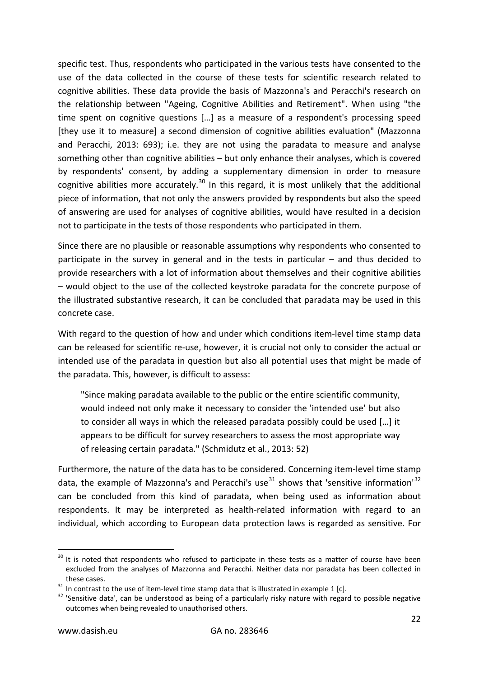specific test. Thus, respondents who participated in the various tests have consented to the use of the data collected in the course of these tests for scientific research related to cognitive abilities. These data provide the basis of Mazzonna's and Peracchi's research on the relationship between "Ageing, Cognitive Abilities and Retirement". When using "the time spent on cognitive questions […] as a measure of a respondent's processing speed [they use it to measure] a second dimension of cognitive abilities evaluation" (Mazzonna and Peracchi, 2013: 693); i.e. they are not using the paradata to measure and analyse something other than cognitive abilities – but only enhance their analyses, which is covered by respondents' consent, by adding a supplementary dimension in order to measure cognitive abilities more accurately.<sup>[30](#page-21-0)</sup> In this regard, it is most unlikely that the additional piece of information, that not only the answers provided by respondents but also the speed of answering are used for analyses of cognitive abilities, would have resulted in a decision not to participate in the tests of those respondents who participated in them.

Since there are no plausible or reasonable assumptions why respondents who consented to participate in the survey in general and in the tests in particular – and thus decided to provide researchers with a lot of information about themselves and their cognitive abilities – would object to the use of the collected keystroke paradata for the concrete purpose of the illustrated substantive research, it can be concluded that paradata may be used in this concrete case.

With regard to the question of how and under which conditions item-level time stamp data can be released for scientific re-use, however, it is crucial not only to consider the actual or intended use of the paradata in question but also all potential uses that might be made of the paradata. This, however, is difficult to assess:

"Since making paradata available to the public or the entire scientific community, would indeed not only make it necessary to consider the 'intended use' but also to consider all ways in which the released paradata possibly could be used […] it appears to be difficult for survey researchers to assess the most appropriate way of releasing certain paradata." (Schmidutz et al., 2013: 52)

Furthermore, the nature of the data has to be considered. Concerning item-level time stamp data, the example of Mazzonna's and Peracchi's use<sup>[31](#page-21-1)</sup> shows that 'sensitive information'<sup>[32](#page-21-2)</sup> can be concluded from this kind of paradata, when being used as information about respondents. It may be interpreted as health-related information with regard to an individual, which according to European data protection laws is regarded as sensitive. For

<span id="page-21-0"></span> $30$  It is noted that respondents who refused to participate in these tests as a matter of course have been excluded from the analyses of Mazzonna and Peracchi. Neither data nor paradata has been collected in

<span id="page-21-2"></span><span id="page-21-1"></span>

these cases.<br><sup>31</sup> In contrast to the use of item-level time stamp data that is illustrated in example 1 [c].<br><sup>32</sup> 'Sensitive data', can be understood as being of a particularly risky nature with regard to possible negativ outcomes when being revealed to unauthorised others.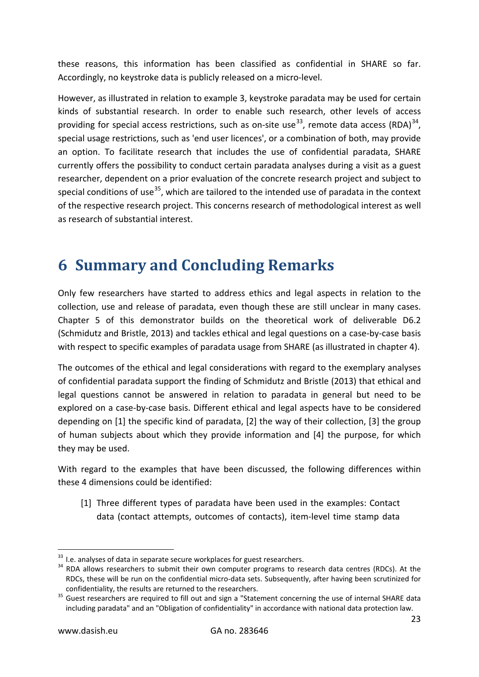these reasons, this information has been classified as confidential in SHARE so far. Accordingly, no keystroke data is publicly released on a micro-level.

However, as illustrated in relation to example 3, keystroke paradata may be used for certain kinds of substantial research. In order to enable such research, other levels of access providing for special access restrictions, such as on-site use<sup>[33](#page-22-1)</sup>, remote data access (RDA)<sup>[34](#page-22-2)</sup>, special usage restrictions, such as 'end user licences', or a combination of both, may provide an option. To facilitate research that includes the use of confidential paradata, SHARE currently offers the possibility to conduct certain paradata analyses during a visit as a guest researcher, dependent on a prior evaluation of the concrete research project and subject to special conditions of use<sup>[35](#page-22-3)</sup>, which are tailored to the intended use of paradata in the context of the respective research project. This concerns research of methodological interest as well as research of substantial interest.

## <span id="page-22-0"></span>**6 Summary and Concluding Remarks**

Only few researchers have started to address ethics and legal aspects in relation to the collection, use and release of paradata, even though these are still unclear in many cases. Chapter 5 of this demonstrator builds on the theoretical work of deliverable D6.2 (Schmidutz and Bristle, 2013) and tackles ethical and legal questions on a case-by-case basis with respect to specific examples of paradata usage from SHARE (as illustrated in chapter 4).

The outcomes of the ethical and legal considerations with regard to the exemplary analyses of confidential paradata support the finding of Schmidutz and Bristle (2013) that ethical and legal questions cannot be answered in relation to paradata in general but need to be explored on a case-by-case basis. Different ethical and legal aspects have to be considered depending on [1] the specific kind of paradata, [2] the way of their collection, [3] the group of human subjects about which they provide information and [4] the purpose, for which they may be used.

With regard to the examples that have been discussed, the following differences within these 4 dimensions could be identified:

[1] Three different types of paradata have been used in the examples: Contact data (contact attempts, outcomes of contacts), item-level time stamp data

<span id="page-22-2"></span><span id="page-22-1"></span> $33$  I.e. analyses of data in separate secure workplaces for guest researchers.<br> $34$  RDA allows researchers to submit their own computer programs to research data centres (RDCs). At the RDCs, these will be run on the confidential micro-data sets. Subsequently, after having been scrutinized for

<span id="page-22-3"></span>confidentiality, the results are returned to the researchers.<br><sup>35</sup> Guest researchers are required to fill out and sign a "Statement concerning the use of internal SHARE data including paradata" and an "Obligation of confidentiality" in accordance with national data protection law.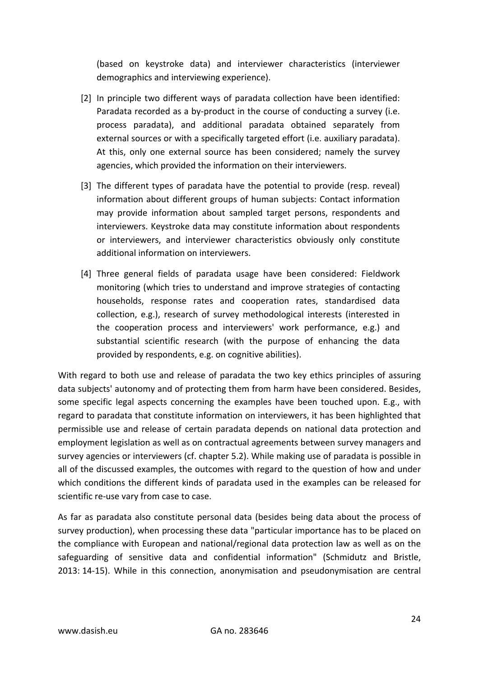(based on keystroke data) and interviewer characteristics (interviewer demographics and interviewing experience).

- [2] In principle two different ways of paradata collection have been identified: Paradata recorded as a by-product in the course of conducting a survey (i.e. process paradata), and additional paradata obtained separately from external sources or with a specifically targeted effort (i.e. auxiliary paradata). At this, only one external source has been considered; namely the survey agencies, which provided the information on their interviewers.
- [3] The different types of paradata have the potential to provide (resp. reveal) information about different groups of human subjects: Contact information may provide information about sampled target persons, respondents and interviewers. Keystroke data may constitute information about respondents or interviewers, and interviewer characteristics obviously only constitute additional information on interviewers.
- [4] Three general fields of paradata usage have been considered: Fieldwork monitoring (which tries to understand and improve strategies of contacting households, response rates and cooperation rates, standardised data collection, e.g.), research of survey methodological interests (interested in the cooperation process and interviewers' work performance, e.g.) and substantial scientific research (with the purpose of enhancing the data provided by respondents, e.g. on cognitive abilities).

With regard to both use and release of paradata the two key ethics principles of assuring data subjects' autonomy and of protecting them from harm have been considered. Besides, some specific legal aspects concerning the examples have been touched upon. E.g., with regard to paradata that constitute information on interviewers, it has been highlighted that permissible use and release of certain paradata depends on national data protection and employment legislation as well as on contractual agreements between survey managers and survey agencies or interviewers (cf. chapter 5.2). While making use of paradata is possible in all of the discussed examples, the outcomes with regard to the question of how and under which conditions the different kinds of paradata used in the examples can be released for scientific re-use vary from case to case.

As far as paradata also constitute personal data (besides being data about the process of survey production), when processing these data "particular importance has to be placed on the compliance with European and national/regional data protection law as well as on the safeguarding of sensitive data and confidential information" (Schmidutz and Bristle, 2013: 14-15). While in this connection, anonymisation and pseudonymisation are central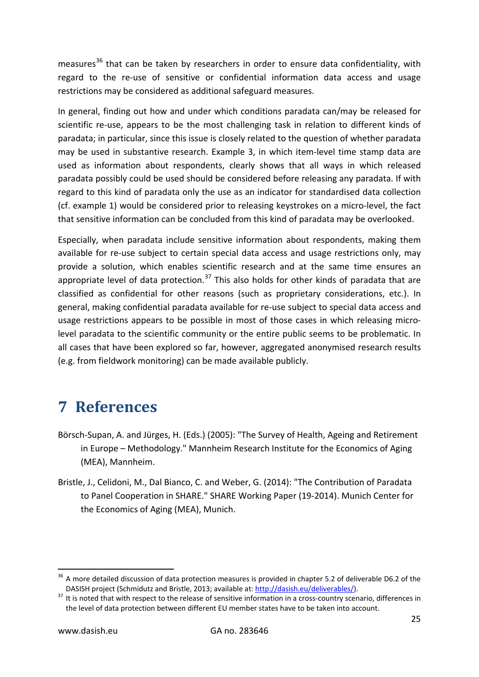measures<sup>[36](#page-24-1)</sup> that can be taken by researchers in order to ensure data confidentiality, with regard to the re-use of sensitive or confidential information data access and usage restrictions may be considered as additional safeguard measures.

In general, finding out how and under which conditions paradata can/may be released for scientific re-use, appears to be the most challenging task in relation to different kinds of paradata; in particular, since this issue is closely related to the question of whether paradata may be used in substantive research. Example 3, in which item-level time stamp data are used as information about respondents, clearly shows that all ways in which released paradata possibly could be used should be considered before releasing any paradata. If with regard to this kind of paradata only the use as an indicator for standardised data collection (cf. example 1) would be considered prior to releasing keystrokes on a micro-level, the fact that sensitive information can be concluded from this kind of paradata may be overlooked.

Especially, when paradata include sensitive information about respondents, making them available for re-use subject to certain special data access and usage restrictions only, may provide a solution, which enables scientific research and at the same time ensures an appropriate level of data protection.<sup>[37](#page-24-2)</sup> This also holds for other kinds of paradata that are classified as confidential for other reasons (such as proprietary considerations, etc.). In general, making confidential paradata available for re-use subject to special data access and usage restrictions appears to be possible in most of those cases in which releasing microlevel paradata to the scientific community or the entire public seems to be problematic. In all cases that have been explored so far, however, aggregated anonymised research results (e.g. from fieldwork monitoring) can be made available publicly.

## <span id="page-24-0"></span>**7 References**

- Börsch-Supan, A. and Jürges, H. (Eds.) (2005): "The Survey of Health, Ageing and Retirement in Europe – Methodology." Mannheim Research Institute for the Economics of Aging (MEA), Mannheim.
- Bristle, J., Celidoni, M., Dal Bianco, C. and Weber, G. (2014): "The Contribution of Paradata to Panel Cooperation in SHARE." SHARE Working Paper (19-2014). Munich Center for the Economics of Aging (MEA), Munich.

<span id="page-24-1"></span> $36$  A more detailed discussion of data protection measures is provided in chapter 5.2 of deliverable D6.2 of the DASISH project (Schmidutz and Bristle, 2013; available at[: http://dasish.eu/deliverables/\)](http://dasish.eu/deliverables/).<br><sup>37</sup> It is noted that with respect to the release of sensitive information in a cross-country scenario, differences in

<span id="page-24-2"></span>the level of data protection between different EU member states have to be taken into account.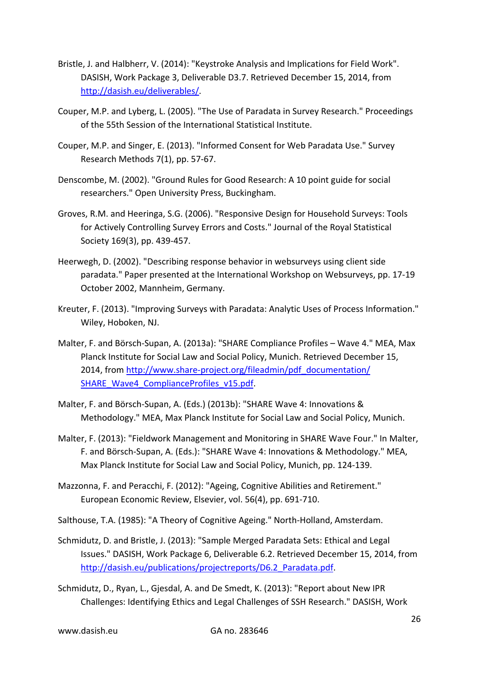- Bristle, J. and Halbherr, V. (2014): "Keystroke Analysis and Implications for Field Work". DASISH, Work Package 3, Deliverable D3.7. Retrieved December 15, 2014, from [http://dasish.eu/deliverables/.](http://dasish.eu/deliverables/)
- Couper, M.P. and Lyberg, L. (2005). "The Use of Paradata in Survey Research." Proceedings of the 55th Session of the International Statistical Institute.
- Couper, M.P. and Singer, E. (2013). "Informed Consent for Web Paradata Use." Survey Research Methods 7(1), pp. 57-67.
- Denscombe, M. (2002). "Ground Rules for Good Research: A 10 point guide for social researchers." Open University Press, Buckingham.
- <span id="page-25-0"></span>Groves, R.M. and Heeringa, S.G. (2006). "Responsive Design for Household Surveys: Tools for Actively Controlling Survey Errors and Costs." Journal of the Royal Statistical Society 169(3), pp. 439-457.
- Heerwegh, D. (2002). "Describing response behavior in websurveys using client side paradata." Paper presented at the International Workshop on Websurveys, pp. 17-19 October 2002, Mannheim, Germany.
- Kreuter, F. (2013). "Improving Surveys with Paradata: Analytic Uses of Process Information." Wiley, Hoboken, NJ.
- Malter, F. and Börsch-Supan, A. (2013a): "SHARE Compliance Profiles Wave 4." MEA, Max Planck Institute for Social Law and Social Policy, Munich. Retrieved December 15, 2014, from [http://www.share-project.org/fileadmin/pdf\\_documentation/](http://www.share-project.org/fileadmin/pdf_documentation/SHARE_Wave4_ComplianceProfiles_v15.pdf)  [SHARE\\_Wave4\\_ComplianceProfiles\\_v15.pdf.](http://www.share-project.org/fileadmin/pdf_documentation/SHARE_Wave4_ComplianceProfiles_v15.pdf)
- Malter, F. and Börsch-Supan, A. (Eds.) (2013b): "SHARE Wave 4: Innovations & Methodology." MEA, Max Planck Institute for Social Law and Social Policy, Munich.
- Malter, F. (2013): "Fieldwork Management and Monitoring in SHARE Wave Four." In Malter, F. and Börsch-Supan, A. (Eds.): "SHARE Wave 4: Innovations & Methodology." MEA, Max Planck Institute for Social Law and Social Policy, Munich, pp. 124-139.
- Mazzonna, F. and Peracchi, F. (2012): "Ageing, Cognitive Abilities and Retirement." European Economic Review, Elsevier, vol. 56(4), pp. 691-710.

Salthouse, T.A. (1985): "A Theory of Cognitive Ageing." North-Holland, Amsterdam.

- Schmidutz, D. and Bristle, J. (2013): "Sample Merged Paradata Sets: Ethical and Legal Issues." DASISH, Work Package 6, Deliverable 6.2. Retrieved December 15, 2014, from [http://dasish.eu/publications/projectreports/D6.2\\_Paradata.pdf.](http://dasish.eu/publications/projectreports/D6.2_Paradata.pdf)
- Schmidutz, D., Ryan, L., Gjesdal, A. and De Smedt, K. (2013): "Report about New IPR Challenges: Identifying Ethics and Legal Challenges of SSH Research." DASISH, Work